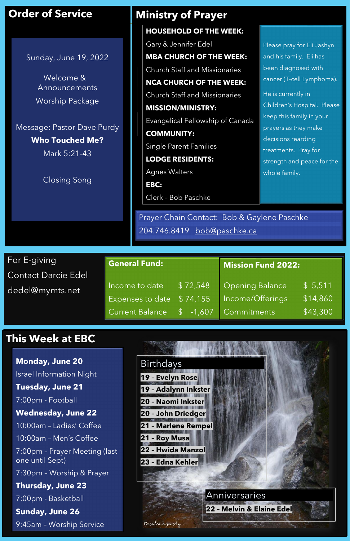For E-giving Contact Darcie Edel dedel@mymts.net

# **This Week at EBC**

### **General Fund:**

# **Order of Service**

Sunday, June 19, 2022

Welcome & Announcements Worship Package

Message: Pastor Dave Purdy **Who Touched Me?**

Mark 5:21-43

Closing Song

Prayer Chain Contact: Bob & Gaylene Paschke 204.746.8419 [bob@paschke.ca](mailto:bob@paschke.ca)

| Income to date l                      | \$72,548 Opening Balance                     | \$5,511  |
|---------------------------------------|----------------------------------------------|----------|
|                                       | Expenses to date \$74,155   Income/Offerings | \$14,860 |
| Current Balance \$ -1,607 Commitments |                                              | \$43,300 |

Please pray for Eli Jashyn



and his family. Eli has been diagnosed with cancer (T-cell Lymphoma). He is currently in Children's Hospital. Please keep this family in your prayers as they make decisions rearding treatments. Pray for

strength and peace for the whole family.

**Mission Fund 2022:**

## **Ministry of Prayer**

**Monday, June 20** Israel Information Night **Tuesday, June 21**

7:00pm - Football **Wednesday, June 22** 10:00am – Ladies' Coffee 10:00am – Men's Coffee 7:00pm – Prayer Meeting (last one until Sept) 7:30pm – Worship & Prayer **Thursday, June 23** 7:00pm - Basketball **Sunday, June 26** 9:45am – Worship Service

### **HOUSEHOLD OF THE WEEK:**

Gary & Jennifer Edel

**MBA CHURCH OF THE WEEK:**

Church Staff and Missionaries

**NCA CHURCH OF THE WEEK:**  Church Staff and Missionaries **MISSION/MINISTRY:** 

Evangelical Fellowship of Canada

**COMMUNITY:**

Single Parent Families

**LODGE RESIDENTS:** 

Agnes Walters

**EBC:** Clerk – Bob Paschke